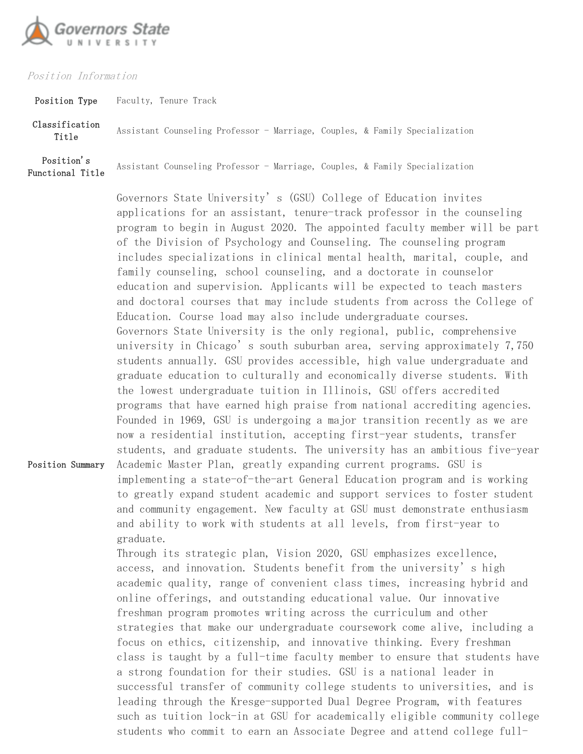

## Position Information

Position Type Faculty, Tenure Track

Classification Title Assistant Counseling Professor - Marriage, Couples, & Family Specialization Position's

Functional Title Assistant Counseling Professor - Marriage, Couples, & Family Specialization

Governors State University's (GSU) College of Education invites applications for an assistant, tenure-track professor in the counseling program to begin in August 2020. The appointed faculty member will be part of the Division of Psychology and Counseling. The counseling program includes specializations in clinical mental health, marital, couple, and family counseling, school counseling, and a doctorate in counselor education and supervision. Applicants will be expected to teach masters and doctoral courses that may include students from across the College of Education. Course load may also include undergraduate courses. Governors State University is the only regional, public, comprehensive university in Chicago's south suburban area, serving approximately 7,750 students annually. GSU provides accessible, high value undergraduate and graduate education to culturally and economically diverse students. With the lowest undergraduate tuition in Illinois, GSU offers accredited programs that have earned high praise from national accrediting agencies. Founded in 1969, GSU is undergoing a major transition recently as we are now a residential institution, accepting first-year students, transfer students, and graduate students. The university has an ambitious five-year

Position Summary Academic Master Plan, greatly expanding current programs. GSU is implementing a state-of-the-art General Education program and is working to greatly expand student academic and support services to foster student and community engagement. New faculty at GSU must demonstrate enthusiasm and ability to work with students at all levels, from first-year to graduate.

> Through its strategic plan, Vision 2020, GSU emphasizes excellence, access, and innovation. Students benefit from the university's high academic quality, range of convenient class times, increasing hybrid and online offerings, and outstanding educational value. Our innovative freshman program promotes writing across the curriculum and other strategies that make our undergraduate coursework come alive, including a focus on ethics, citizenship, and innovative thinking. Every freshman class is taught by a full-time faculty member to ensure that students have a strong foundation for their studies. GSU is a national leader in successful transfer of community college students to universities, and is leading through the Kresge-supported Dual Degree Program, with features such as tuition lock-in at GSU for academically eligible community college students who commit to earn an Associate Degree and attend college full-